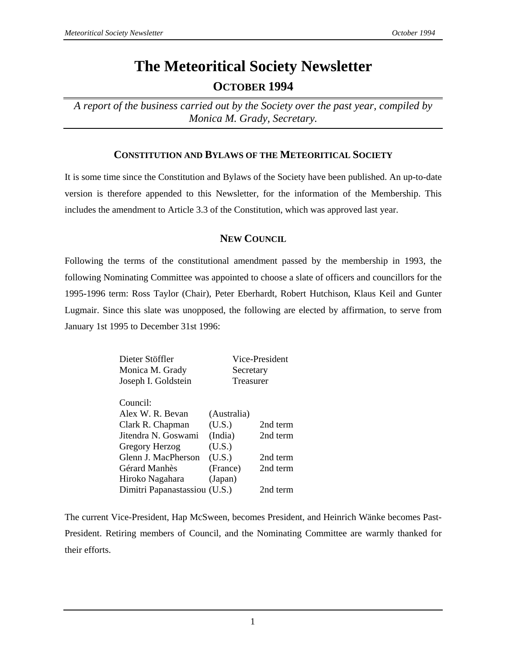# **The Meteoritical Society Newsletter OCTOBER 1994**

*A report of the business carried out by the Society over the past year, compiled by Monica M. Grady, Secretary.*

# **CONSTITUTION AND BYLAWS OF THE METEORITICAL SOCIETY**

It is some time since the Constitution and Bylaws of the Society have been published. An up-to-date version is therefore appended to this Newsletter, for the information of the Membership. This includes the amendment to Article 3.3 of the Constitution, which was approved last year.

# **NEW COUNCIL**

Following the terms of the constitutional amendment passed by the membership in 1993, the following Nominating Committee was appointed to choose a slate of officers and councillors for the 1995-1996 term: Ross Taylor (Chair), Peter Eberhardt, Robert Hutchison, Klaus Keil and Gunter Lugmair. Since this slate was unopposed, the following are elected by affirmation, to serve from January 1st 1995 to December 31st 1996:

| Dieter Stöffler               |             | Vice-President |
|-------------------------------|-------------|----------------|
| Monica M. Grady               | Secretary   |                |
| Joseph I. Goldstein           | Treasurer   |                |
| Council:                      |             |                |
| Alex W. R. Bevan              | (Australia) |                |
| Clark R. Chapman              | (U.S.)      | 2nd term       |
| Jitendra N. Goswami           | (India)     | 2nd term       |
| Gregory Herzog                | (U.S.)      |                |
| Glenn J. MacPherson           | (U.S.)      | 2nd term       |
| Gérard Manhès                 | (France)    | 2nd term       |
| Hiroko Nagahara               | (Japan)     |                |
| Dimitri Papanastassiou (U.S.) |             | 2nd term       |

The current Vice-President, Hap McSween, becomes President, and Heinrich Wänke becomes Past-President. Retiring members of Council, and the Nominating Committee are warmly thanked for their efforts.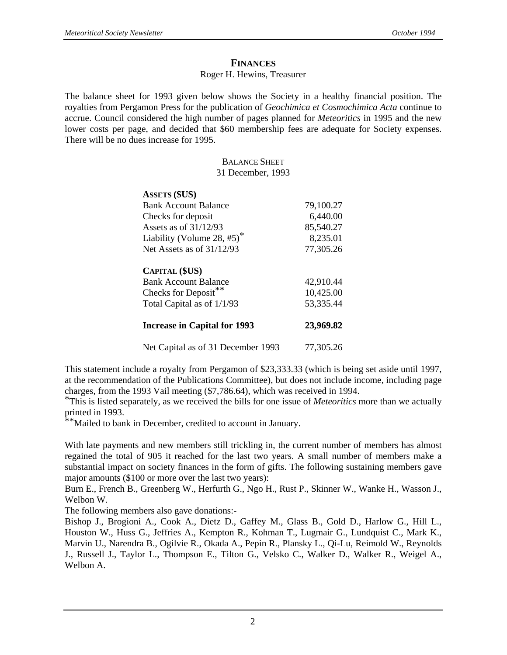# **FINANCES**

### Roger H. Hewins, Treasurer

The balance sheet for 1993 given below shows the Society in a healthy financial position. The royalties from Pergamon Press for the publication of *Geochimica et Cosmochimica Acta* continue to accrue. Council considered the high number of pages planned for *Meteoritics* in 1995 and the new lower costs per page, and decided that \$60 membership fees are adequate for Society expenses. There will be no dues increase for 1995.

### BALANCE SHEET 31 December, 1993

| <b>ASSETS (\$US)</b>    |                                     |           |
|-------------------------|-------------------------------------|-----------|
|                         | <b>Bank Account Balance</b>         | 79,100.27 |
| Checks for deposit      |                                     | 6,440.00  |
| Assets as of $31/12/93$ |                                     | 85,540.27 |
|                         | Liability (Volume 28, $#5$ )*       | 8,235.01  |
|                         | Net Assets as of $31/12/93$         | 77,305.26 |
| <b>CAPITAL (\$US)</b>   |                                     |           |
|                         | <b>Bank Account Balance</b>         | 42,910.44 |
| Checks for Deposit**    |                                     | 10,425.00 |
|                         | Total Capital as of 1/1/93          | 53,335.44 |
|                         | <b>Increase in Capital for 1993</b> | 23,969.82 |
|                         | Net Capital as of 31 December 1993  | 77,305.26 |

This statement include a royalty from Pergamon of \$23,333.33 (which is being set aside until 1997, at the recommendation of the Publications Committee), but does not include income, including page charges, from the 1993 Vail meeting (\$7,786.64), which was received in 1994.

\*This is listed separately, as we received the bills for one issue of *Meteoritics* more than we actually printed in 1993.

\*Mailed to bank in December, credited to account in January.

With late payments and new members still trickling in, the current number of members has almost regained the total of 905 it reached for the last two years. A small number of members make a substantial impact on society finances in the form of gifts. The following sustaining members gave major amounts (\$100 or more over the last two years):

Burn E., French B., Greenberg W., Herfurth G., Ngo H., Rust P., Skinner W., Wanke H., Wasson J., Welbon W.

The following members also gave donations:-

Bishop J., Brogioni A., Cook A., Dietz D., Gaffey M., Glass B., Gold D., Harlow G., Hill L., Houston W., Huss G., Jeffries A., Kempton R., Kohman T., Lugmair G., Lundquist C., Mark K., Marvin U., Narendra B., Ogilvie R., Okada A., Pepin R., Plansky L., Qi-Lu, Reimold W., Reynolds J., Russell J., Taylor L., Thompson E., Tilton G., Velsko C., Walker D., Walker R., Weigel A., Welbon A.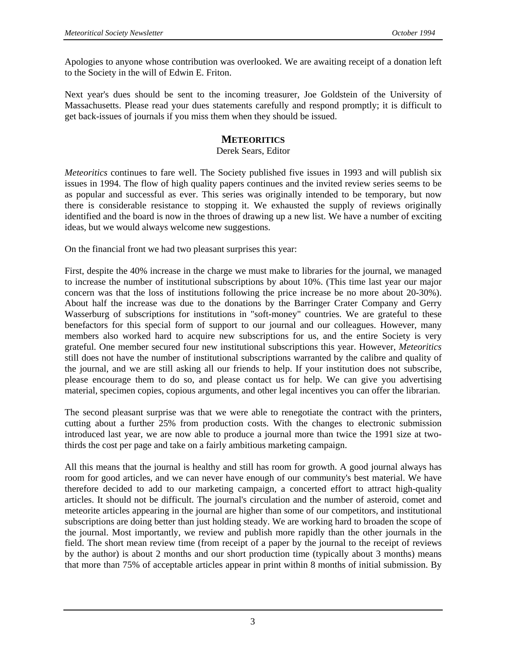Apologies to anyone whose contribution was overlooked. We are awaiting receipt of a donation left to the Society in the will of Edwin E. Friton.

Next year's dues should be sent to the incoming treasurer, Joe Goldstein of the University of Massachusetts. Please read your dues statements carefully and respond promptly; it is difficult to get back-issues of journals if you miss them when they should be issued.

## **METEORITICS**

### Derek Sears, Editor

*Meteoritics* continues to fare well. The Society published five issues in 1993 and will publish six issues in 1994. The flow of high quality papers continues and the invited review series seems to be as popular and successful as ever. This series was originally intended to be temporary, but now there is considerable resistance to stopping it. We exhausted the supply of reviews originally identified and the board is now in the throes of drawing up a new list. We have a number of exciting ideas, but we would always welcome new suggestions.

On the financial front we had two pleasant surprises this year:

First, despite the 40% increase in the charge we must make to libraries for the journal, we managed to increase the number of institutional subscriptions by about 10%. (This time last year our major concern was that the loss of institutions following the price increase be no more about 20-30%). About half the increase was due to the donations by the Barringer Crater Company and Gerry Wasserburg of subscriptions for institutions in "soft-money" countries. We are grateful to these benefactors for this special form of support to our journal and our colleagues. However, many members also worked hard to acquire new subscriptions for us, and the entire Society is very grateful. One member secured four new institutional subscriptions this year. However, *Meteoritics* still does not have the number of institutional subscriptions warranted by the calibre and quality of the journal, and we are still asking all our friends to help. If your institution does not subscribe, please encourage them to do so, and please contact us for help. We can give you advertising material, specimen copies, copious arguments, and other legal incentives you can offer the librarian.

The second pleasant surprise was that we were able to renegotiate the contract with the printers, cutting about a further 25% from production costs. With the changes to electronic submission introduced last year, we are now able to produce a journal more than twice the 1991 size at twothirds the cost per page and take on a fairly ambitious marketing campaign.

All this means that the journal is healthy and still has room for growth. A good journal always has room for good articles, and we can never have enough of our community's best material. We have therefore decided to add to our marketing campaign, a concerted effort to attract high-quality articles. It should not be difficult. The journal's circulation and the number of asteroid, comet and meteorite articles appearing in the journal are higher than some of our competitors, and institutional subscriptions are doing better than just holding steady. We are working hard to broaden the scope of the journal. Most importantly, we review and publish more rapidly than the other journals in the field. The short mean review time (from receipt of a paper by the journal to the receipt of reviews by the author) is about 2 months and our short production time (typically about 3 months) means that more than 75% of acceptable articles appear in print within 8 months of initial submission. By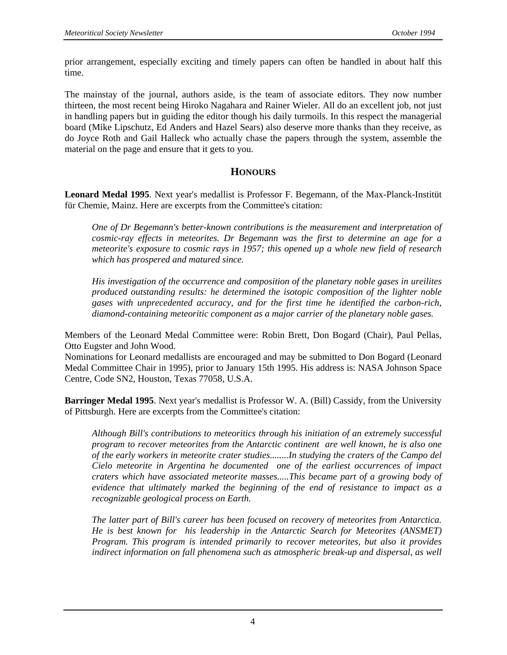prior arrangement, especially exciting and timely papers can often be handled in about half this time.

The mainstay of the journal, authors aside, is the team of associate editors. They now number thirteen, the most recent being Hiroko Nagahara and Rainer Wieler. All do an excellent job, not just in handling papers but in guiding the editor though his daily turmoils. In this respect the managerial board (Mike Lipschutz, Ed Anders and Hazel Sears) also deserve more thanks than they receive, as do Joyce Roth and Gail Halleck who actually chase the papers through the system, assemble the material on the page and ensure that it gets to you.

# **HONOURS**

**Leonard Medal 1995**. Next year's medallist is Professor F. Begemann, of the Max-Planck-Institüt für Chemie, Mainz. Here are excerpts from the Committee's citation:

*One of Dr Begemann's better-known contributions is the measurement and interpretation of cosmic-ray effects in meteorites. Dr Begemann was the first to determine an age for a meteorite's exposure to cosmic rays in 1957; this opened up a whole new field of research which has prospered and matured since.* 

*His investigation of the occurrence and composition of the planetary noble gases in ureilites produced outstanding results: he determined the isotopic composition of the lighter noble gases with unprecedented accuracy, and for the first time he identified the carbon-rich, diamond-containing meteoritic component as a major carrier of the planetary noble gases.* 

Members of the Leonard Medal Committee were: Robin Brett, Don Bogard (Chair), Paul Pellas, Otto Eugster and John Wood.

Nominations for Leonard medallists are encouraged and may be submitted to Don Bogard (Leonard Medal Committee Chair in 1995), prior to January 15th 1995. His address is: NASA Johnson Space Centre, Code SN2, Houston, Texas 77058, U.S.A.

**Barringer Medal 1995**. Next year's medallist is Professor W. A. (Bill) Cassidy, from the University of Pittsburgh. Here are excerpts from the Committee's citation:

*Although Bill's contributions to meteoritics through his initiation of an extremely successful program to recover meteorites from the Antarctic continent are well known, he is also one of the early workers in meteorite crater studies........In studying the craters of the Campo del Cielo meteorite in Argentina he documented one of the earliest occurrences of impact craters which have associated meteorite masses.....This became part of a growing body of evidence that ultimately marked the beginning of the end of resistance to impact as a recognizable geological process on Earth.* 

*The latter part of Bill's career has been focused on recovery of meteorites from Antarctica. He is best known for his leadership in the Antarctic Search for Meteorites (ANSMET) Program. This program is intended primarily to recover meteorites, but also it provides indirect information on fall phenomena such as atmospheric break-up and dispersal, as well*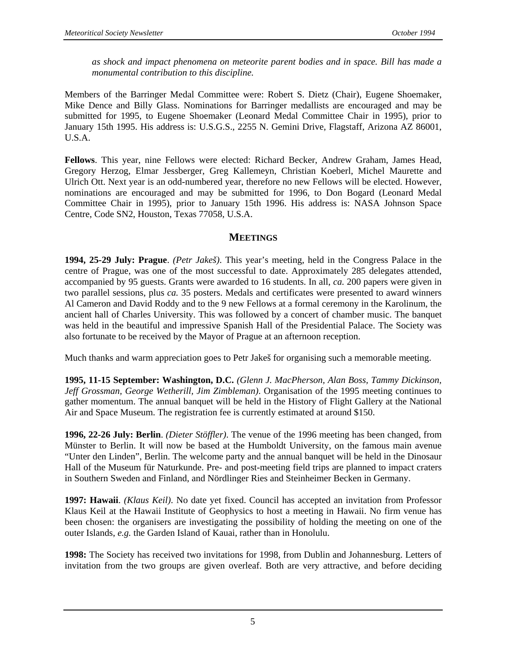*as shock and impact phenomena on meteorite parent bodies and in space. Bill has made a monumental contribution to this discipline.*

Members of the Barringer Medal Committee were: Robert S. Dietz (Chair), Eugene Shoemaker, Mike Dence and Billy Glass. Nominations for Barringer medallists are encouraged and may be submitted for 1995, to Eugene Shoemaker (Leonard Medal Committee Chair in 1995), prior to January 15th 1995. His address is: U.S.G.S., 2255 N. Gemini Drive, Flagstaff, Arizona AZ 86001, U.S.A.

**Fellows**. This year, nine Fellows were elected: Richard Becker, Andrew Graham, James Head, Gregory Herzog, Elmar Jessberger, Greg Kallemeyn, Christian Koeberl, Michel Maurette and Ulrich Ott. Next year is an odd-numbered year, therefore no new Fellows will be elected. However, nominations are encouraged and may be submitted for 1996, to Don Bogard (Leonard Medal Committee Chair in 1995), prior to January 15th 1996. His address is: NASA Johnson Space Centre, Code SN2, Houston, Texas 77058, U.S.A.

# **MEETINGS**

**1994, 25-29 July: Prague**. *(Petr Jakeš)*. This year's meeting, held in the Congress Palace in the centre of Prague, was one of the most successful to date. Approximately 285 delegates attended, accompanied by 95 guests. Grants were awarded to 16 students. In all, *ca.* 200 papers were given in two parallel sessions, plus *ca.* 35 posters. Medals and certificates were presented to award winners Al Cameron and David Roddy and to the 9 new Fellows at a formal ceremony in the Karolinum, the ancient hall of Charles University. This was followed by a concert of chamber music. The banquet was held in the beautiful and impressive Spanish Hall of the Presidential Palace. The Society was also fortunate to be received by the Mayor of Prague at an afternoon reception.

Much thanks and warm appreciation goes to Petr Jakeš for organising such a memorable meeting.

**1995, 11-15 September: Washington, D.C.** *(Glenn J. MacPherson, Alan Boss, Tammy Dickinson, Jeff Grossman, George Wetherill, Jim Zimbleman)*. Organisation of the 1995 meeting continues to gather momentum. The annual banquet will be held in the History of Flight Gallery at the National Air and Space Museum. The registration fee is currently estimated at around \$150.

**1996, 22-26 July: Berlin**. *(Dieter Stöffler)*. The venue of the 1996 meeting has been changed, from Münster to Berlin. It will now be based at the Humboldt University, on the famous main avenue "Unter den Linden", Berlin. The welcome party and the annual banquet will be held in the Dinosaur Hall of the Museum für Naturkunde. Pre- and post-meeting field trips are planned to impact craters in Southern Sweden and Finland, and Nördlinger Ries and Steinheimer Becken in Germany.

**1997: Hawaii**. *(Klaus Keil)*. No date yet fixed. Council has accepted an invitation from Professor Klaus Keil at the Hawaii Institute of Geophysics to host a meeting in Hawaii. No firm venue has been chosen: the organisers are investigating the possibility of holding the meeting on one of the outer Islands, *e.g.* the Garden Island of Kauai, rather than in Honolulu.

**1998:** The Society has received two invitations for 1998, from Dublin and Johannesburg. Letters of invitation from the two groups are given overleaf. Both are very attractive, and before deciding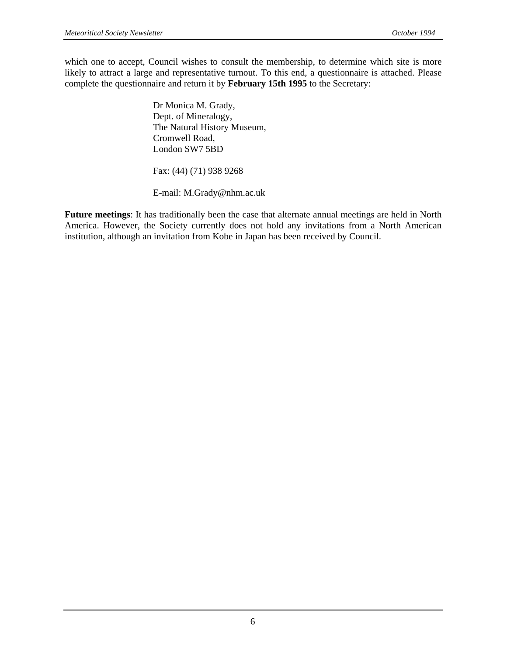which one to accept, Council wishes to consult the membership, to determine which site is more likely to attract a large and representative turnout. To this end, a questionnaire is attached. Please complete the questionnaire and return it by **February 15th 1995** to the Secretary:

> Dr Monica M. Grady, Dept. of Mineralogy, The Natural History Museum, Cromwell Road, London SW7 5BD

Fax: (44) (71) 938 9268

E-mail: M.Grady@nhm.ac.uk

**Future meetings**: It has traditionally been the case that alternate annual meetings are held in North America. However, the Society currently does not hold any invitations from a North American institution, although an invitation from Kobe in Japan has been received by Council.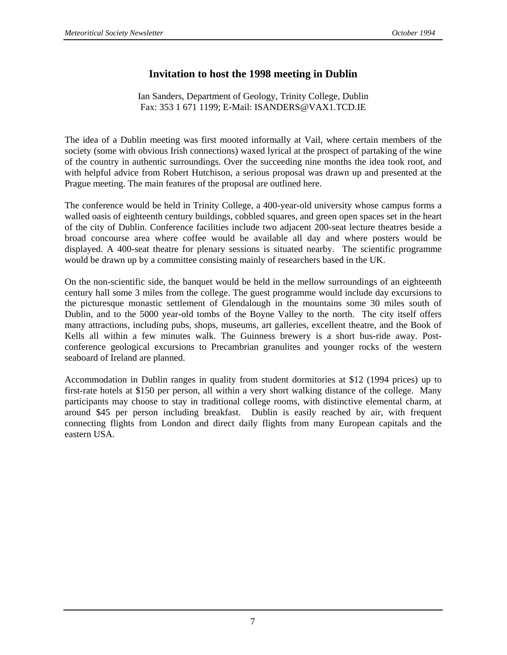# **Invitation to host the 1998 meeting in Dublin**

Ian Sanders, Department of Geology, Trinity College, Dublin Fax: 353 1 671 1199; E-Mail: ISANDERS@VAX1.TCD.IE

The idea of a Dublin meeting was first mooted informally at Vail, where certain members of the society (some with obvious Irish connections) waxed lyrical at the prospect of partaking of the wine of the country in authentic surroundings. Over the succeeding nine months the idea took root, and with helpful advice from Robert Hutchison, a serious proposal was drawn up and presented at the Prague meeting. The main features of the proposal are outlined here.

The conference would be held in Trinity College, a 400-year-old university whose campus forms a walled oasis of eighteenth century buildings, cobbled squares, and green open spaces set in the heart of the city of Dublin. Conference facilities include two adjacent 200-seat lecture theatres beside a broad concourse area where coffee would be available all day and where posters would be displayed. A 400-seat theatre for plenary sessions is situated nearby. The scientific programme would be drawn up by a committee consisting mainly of researchers based in the UK.

On the non-scientific side, the banquet would be held in the mellow surroundings of an eighteenth century hall some 3 miles from the college. The guest programme would include day excursions to the picturesque monastic settlement of Glendalough in the mountains some 30 miles south of Dublin, and to the 5000 year-old tombs of the Boyne Valley to the north. The city itself offers many attractions, including pubs, shops, museums, art galleries, excellent theatre, and the Book of Kells all within a few minutes walk. The Guinness brewery is a short bus-ride away. Postconference geological excursions to Precambrian granulites and younger rocks of the western seaboard of Ireland are planned.

Accommodation in Dublin ranges in quality from student dormitories at \$12 (1994 prices) up to first-rate hotels at \$150 per person, all within a very short walking distance of the college. Many participants may choose to stay in traditional college rooms, with distinctive elemental charm, at around \$45 per person including breakfast. Dublin is easily reached by air, with frequent connecting flights from London and direct daily flights from many European capitals and the eastern USA.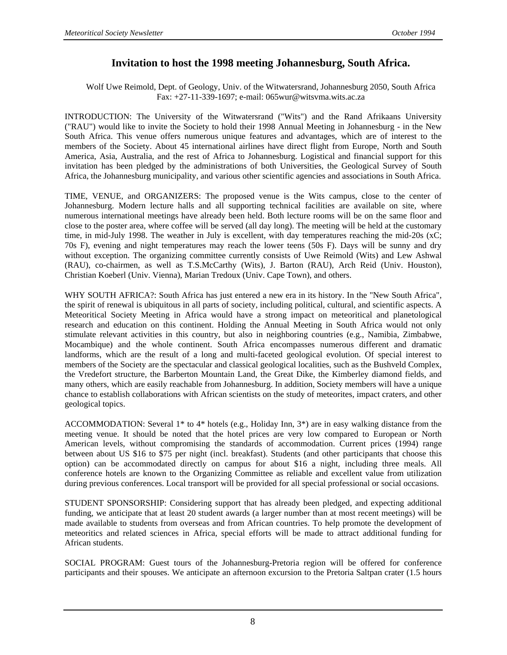# **Invitation to host the 1998 meeting Johannesburg, South Africa.**

Wolf Uwe Reimold, Dept. of Geology, Univ. of the Witwatersrand, Johannesburg 2050, South Africa Fax: +27-11-339-1697; e-mail: 065wur@witsvma.wits.ac.za

INTRODUCTION: The University of the Witwatersrand ("Wits") and the Rand Afrikaans University ("RAU") would like to invite the Society to hold their 1998 Annual Meeting in Johannesburg - in the New South Africa. This venue offers numerous unique features and advantages, which are of interest to the members of the Society. About 45 international airlines have direct flight from Europe, North and South America, Asia, Australia, and the rest of Africa to Johannesburg. Logistical and financial support for this invitation has been pledged by the administrations of both Universities, the Geological Survey of South Africa, the Johannesburg municipality, and various other scientific agencies and associations in South Africa.

TIME, VENUE, and ORGANIZERS: The proposed venue is the Wits campus, close to the center of Johannesburg. Modern lecture halls and all supporting technical facilities are available on site, where numerous international meetings have already been held. Both lecture rooms will be on the same floor and close to the poster area, where coffee will be served (all day long). The meeting will be held at the customary time, in mid-July 1998. The weather in July is excellent, with day temperatures reaching the mid-20s (xC; 70s F), evening and night temperatures may reach the lower teens (50s F). Days will be sunny and dry without exception. The organizing committee currently consists of Uwe Reimold (Wits) and Lew Ashwal (RAU), co-chairmen, as well as T.S.McCarthy (Wits), J. Barton (RAU), Arch Reid (Univ. Houston), Christian Koeberl (Univ. Vienna), Marian Tredoux (Univ. Cape Town), and others.

WHY SOUTH AFRICA?: South Africa has just entered a new era in its history. In the "New South Africa", the spirit of renewal is ubiquitous in all parts of society, including political, cultural, and scientific aspects. A Meteoritical Society Meeting in Africa would have a strong impact on meteoritical and planetological research and education on this continent. Holding the Annual Meeting in South Africa would not only stimulate relevant activities in this country, but also in neighboring countries (e.g., Namibia, Zimbabwe, Mocambique) and the whole continent. South Africa encompasses numerous different and dramatic landforms, which are the result of a long and multi-faceted geological evolution. Of special interest to members of the Society are the spectacular and classical geological localities, such as the Bushveld Complex, the Vredefort structure, the Barberton Mountain Land, the Great Dike, the Kimberley diamond fields, and many others, which are easily reachable from Johannesburg. In addition, Society members will have a unique chance to establish collaborations with African scientists on the study of meteorites, impact craters, and other geological topics.

ACCOMMODATION: Several 1\* to 4\* hotels (e.g., Holiday Inn, 3\*) are in easy walking distance from the meeting venue. It should be noted that the hotel prices are very low compared to European or North American levels, without compromising the standards of accommodation. Current prices (1994) range between about US \$16 to \$75 per night (incl. breakfast). Students (and other participants that choose this option) can be accommodated directly on campus for about \$16 a night, including three meals. All conference hotels are known to the Organizing Committee as reliable and excellent value from utilization during previous conferences. Local transport will be provided for all special professional or social occasions.

STUDENT SPONSORSHIP: Considering support that has already been pledged, and expecting additional funding, we anticipate that at least 20 student awards (a larger number than at most recent meetings) will be made available to students from overseas and from African countries. To help promote the development of meteoritics and related sciences in Africa, special efforts will be made to attract additional funding for African students.

SOCIAL PROGRAM: Guest tours of the Johannesburg-Pretoria region will be offered for conference participants and their spouses. We anticipate an afternoon excursion to the Pretoria Saltpan crater (1.5 hours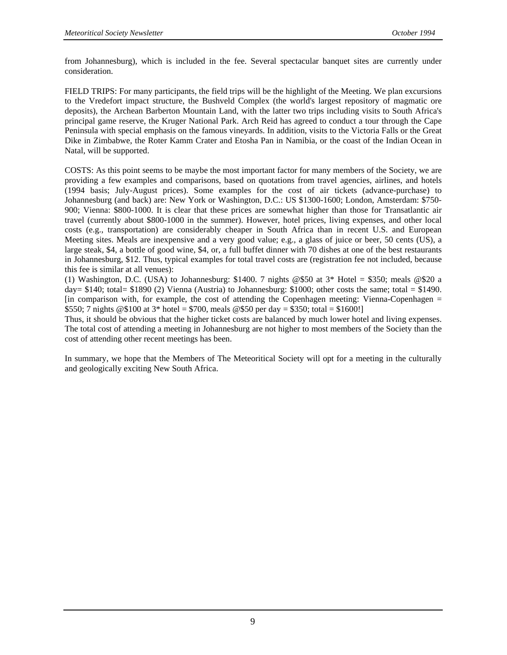from Johannesburg), which is included in the fee. Several spectacular banquet sites are currently under consideration.

FIELD TRIPS: For many participants, the field trips will be the highlight of the Meeting. We plan excursions to the Vredefort impact structure, the Bushveld Complex (the world's largest repository of magmatic ore deposits), the Archean Barberton Mountain Land, with the latter two trips including visits to South Africa's principal game reserve, the Kruger National Park. Arch Reid has agreed to conduct a tour through the Cape Peninsula with special emphasis on the famous vineyards. In addition, visits to the Victoria Falls or the Great Dike in Zimbabwe, the Roter Kamm Crater and Etosha Pan in Namibia, or the coast of the Indian Ocean in Natal, will be supported.

COSTS: As this point seems to be maybe the most important factor for many members of the Society, we are providing a few examples and comparisons, based on quotations from travel agencies, airlines, and hotels (1994 basis; July-August prices). Some examples for the cost of air tickets (advance-purchase) to Johannesburg (and back) are: New York or Washington, D.C.: US \$1300-1600; London, Amsterdam: \$750- 900; Vienna: \$800-1000. It is clear that these prices are somewhat higher than those for Transatlantic air travel (currently about \$800-1000 in the summer). However, hotel prices, living expenses, and other local costs (e.g., transportation) are considerably cheaper in South Africa than in recent U.S. and European Meeting sites. Meals are inexpensive and a very good value; e.g., a glass of juice or beer, 50 cents (US), a large steak, \$4, a bottle of good wine, \$4, or, a full buffet dinner with 70 dishes at one of the best restaurants in Johannesburg, \$12. Thus, typical examples for total travel costs are (registration fee not included, because this fee is similar at all venues):

(1) Washington, D.C. (USA) to Johannesburg: \$1400. 7 nights  $@550$  at  $3*$  Hotel = \$350; meals  $@520$  a day=  $$140$ ; total=  $$1890$  (2) Vienna (Austria) to Johannesburg:  $$1000$ ; other costs the same; total =  $$1490$ . [in comparison with, for example, the cost of attending the Copenhagen meeting: Vienna-Copenhagen = \$550; 7 nights @\$100 at 3\* hotel = \$700, meals @\$50 per day = \$350; total = \$1600!]

Thus, it should be obvious that the higher ticket costs are balanced by much lower hotel and living expenses. The total cost of attending a meeting in Johannesburg are not higher to most members of the Society than the cost of attending other recent meetings has been.

In summary, we hope that the Members of The Meteoritical Society will opt for a meeting in the culturally and geologically exciting New South Africa.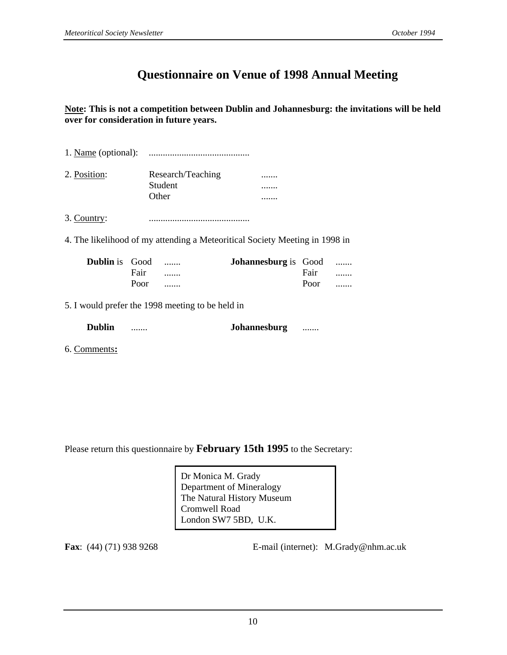# **Questionnaire on Venue of 1998 Annual Meeting**

**Note: This is not a competition between Dublin and Johannesburg: the invitations will be held over for consideration in future years.**

- 1. Name (optional): ...........................................
- 2. Position: Research/Teaching ....... Student ....... Other .......

3. Country: ...........................................

4. The likelihood of my attending a Meteoritical Society Meeting in 1998 in

| <b>Dublin</b> is Good |      |   | <b>Johannesburg</b> is Good |      |   |
|-----------------------|------|---|-----------------------------|------|---|
|                       | Fair |   |                             | Fair | . |
|                       | Poor | . |                             | Poor |   |

5. I would prefer the 1998 meeting to be held in

| <b>Dublin</b> |  | Johannesburg<br> |
|---------------|--|------------------|
|---------------|--|------------------|

6. Comments**:**

Please return this questionnaire by **February 15th 1995** to the Secretary:

Dr Monica M. Grady Department of Mineralogy The Natural History Museum Cromwell Road London SW7 5BD, U.K.

**Fax**: (44) (71) 938 9268 **E-mail (internet): M.Grady@nhm.ac.uk**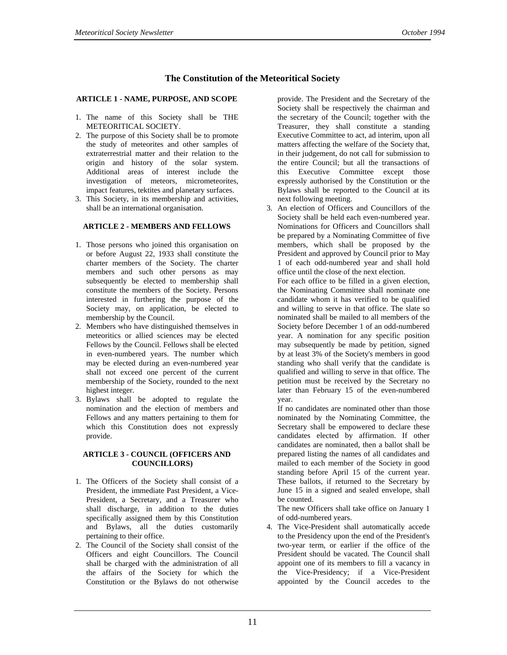#### **The Constitution of the Meteoritical Society**

#### **ARTICLE 1 - NAME, PURPOSE, AND SCOPE**

- 1. The name of this Society shall be THE METEORITICAL SOCIETY.
- 2. The purpose of this Society shall be to promote the study of meteorites and other samples of extraterrestrial matter and their relation to the origin and history of the solar system. Additional areas of interest include the investigation of meteors, micrometeorites, impact features, tektites and planetary surfaces.
- 3. This Society, in its membership and activities, shall be an international organisation.

#### **ARTICLE 2 - MEMBERS AND FELLOWS**

- 1. Those persons who joined this organisation on or before August 22, 1933 shall constitute the charter members of the Society. The charter members and such other persons as may subsequently be elected to membership shall constitute the members of the Society. Persons interested in furthering the purpose of the Society may, on application, be elected to membership by the Council.
- 2. Members who have distinguished themselves in meteoritics or allied sciences may be elected Fellows by the Council. Fellows shall be elected in even-numbered years. The number which may be elected during an even-numbered year shall not exceed one percent of the current membership of the Society, rounded to the next highest integer.
- 3. Bylaws shall be adopted to regulate the nomination and the election of members and Fellows and any matters pertaining to them for which this Constitution does not expressly provide.

#### **ARTICLE 3 - COUNCIL (OFFICERS AND COUNCILLORS)**

- 1. The Officers of the Society shall consist of a President, the immediate Past President, a Vice-President, a Secretary, and a Treasurer who shall discharge, in addition to the duties specifically assigned them by this Constitution and Bylaws, all the duties customarily pertaining to their office.
- 2. The Council of the Society shall consist of the Officers and eight Councillors. The Council shall be charged with the administration of all the affairs of the Society for which the Constitution or the Bylaws do not otherwise

provide. The President and the Secretary of the Society shall be respectively the chairman and the secretary of the Council; together with the Treasurer, they shall constitute a standing Executive Committee to act, ad interim, upon all matters affecting the welfare of the Society that, in their judgement, do not call for submission to the entire Council; but all the transactions of this Executive Committee except those expressly authorised by the Constitution or the Bylaws shall be reported to the Council at its next following meeting.

3. An election of Officers and Councillors of the Society shall be held each even-numbered year. Nominations for Officers and Councillors shall be prepared by a Nominating Committee of five members, which shall be proposed by the President and approved by Council prior to May 1 of each odd-numbered year and shall hold office until the close of the next election.

 For each office to be filled in a given election, the Nominating Committee shall nominate one candidate whom it has verified to be qualified and willing to serve in that office. The slate so nominated shall be mailed to all members of the Society before December 1 of an odd-numbered year. A nomination for any specific position may subsequently be made by petition, signed by at least 3% of the Society's members in good standing who shall verify that the candidate is qualified and willing to serve in that office. The petition must be received by the Secretary no later than February 15 of the even-numbered year.

 If no candidates are nominated other than those nominated by the Nominating Committee, the Secretary shall be empowered to declare these candidates elected by affirmation. If other candidates are nominated, then a ballot shall be prepared listing the names of all candidates and mailed to each member of the Society in good standing before April 15 of the current year. These ballots, if returned to the Secretary by June 15 in a signed and sealed envelope, shall be counted.

 The new Officers shall take office on January 1 of odd-numbered years.

4. The Vice-President shall automatically accede to the Presidency upon the end of the President's two-year term, or earlier if the office of the President should be vacated. The Council shall appoint one of its members to fill a vacancy in the Vice-Presidency; if a Vice-President appointed by the Council accedes to the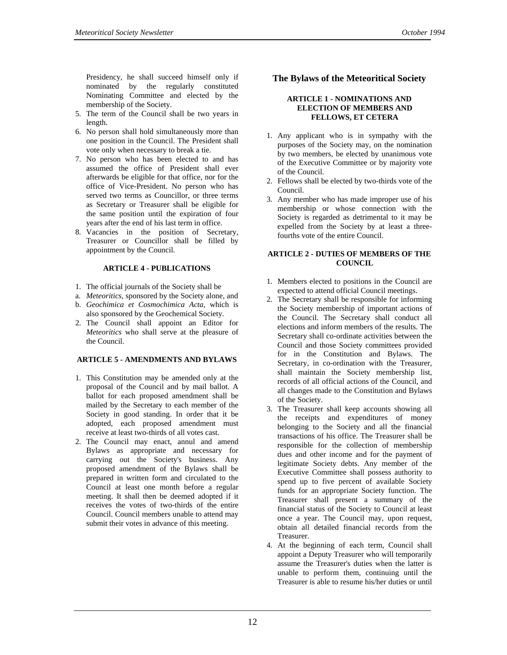- 5. The term of the Council shall be two years in length.
- 6. No person shall hold simultaneously more than one position in the Council. The President shall vote only when necessary to break a tie.
- 7. No person who has been elected to and has assumed the office of President shall ever afterwards be eligible for that office, nor for the office of Vice-President. No person who has served two terms as Councillor, or three terms as Secretary or Treasurer shall be eligible for the same position until the expiration of four years after the end of his last term in office.
- 8. Vacancies in the position of Secretary, Treasurer or Councillor shall be filled by appointment by the Council.

#### **ARTICLE 4 - PUBLICATIONS**

- 1. The official journals of the Society shall be
- a. *Meteoritics*, sponsored by the Society alone, and
- b. *Geochimica et Cosmochimica Acta*, which is also sponsored by the Geochemical Society.
- 2. The Council shall appoint an Editor for *Meteoritics* who shall serve at the pleasure of the Council.

#### **ARTICLE 5 - AMENDMENTS AND BYLAWS**

- 1. This Constitution may be amended only at the proposal of the Council and by mail ballot. A ballot for each proposed amendment shall be mailed by the Secretary to each member of the Society in good standing. In order that it be adopted, each proposed amendment must receive at least two-thirds of all votes cast.
- 2. The Council may enact, annul and amend Bylaws as appropriate and necessary for carrying out the Society's business. Any proposed amendment of the Bylaws shall be prepared in written form and circulated to the Council at least one month before a regular meeting. It shall then be deemed adopted if it receives the votes of two-thirds of the entire Council. Council members unable to attend may submit their votes in advance of this meeting.

### **The Bylaws of the Meteoritical Society**

#### **ARTICLE 1 - NOMINATIONS AND ELECTION OF MEMBERS AND FELLOWS, ET CETERA**

- 1. Any applicant who is in sympathy with the purposes of the Society may, on the nomination by two members, be elected by unanimous vote of the Executive Committee or by majority vote of the Council.
- 2. Fellows shall be elected by two-thirds vote of the Council.
- 3. Any member who has made improper use of his membership or whose connection with the Society is regarded as detrimental to it may be expelled from the Society by at least a threefourths vote of the entire Council.

#### **ARTICLE 2 - DUTIES OF MEMBERS OF THE COUNCIL**

- 1. Members elected to positions in the Council are expected to attend official Council meetings.
- 2. The Secretary shall be responsible for informing the Society membership of important actions of the Council. The Secretary shall conduct all elections and inform members of the results. The Secretary shall co-ordinate activities between the Council and those Society committees provided for in the Constitution and Bylaws. The Secretary, in co-ordination with the Treasurer, shall maintain the Society membership list, records of all official actions of the Council, and all changes made to the Constitution and Bylaws of the Society.
- 3. The Treasurer shall keep accounts showing all the receipts and expenditures of money belonging to the Society and all the financial transactions of his office. The Treasurer shall be responsible for the collection of membership dues and other income and for the payment of legitimate Society debts. Any member of the Executive Committee shall possess authority to spend up to five percent of available Society funds for an appropriate Society function. The Treasurer shall present a summary of the financial status of the Society to Council at least once a year. The Council may, upon request, obtain all detailed financial records from the Treasurer.
- 4. At the beginning of each term, Council shall appoint a Deputy Treasurer who will temporarily assume the Treasurer's duties when the latter is unable to perform them, continuing until the Treasurer is able to resume his/her duties or until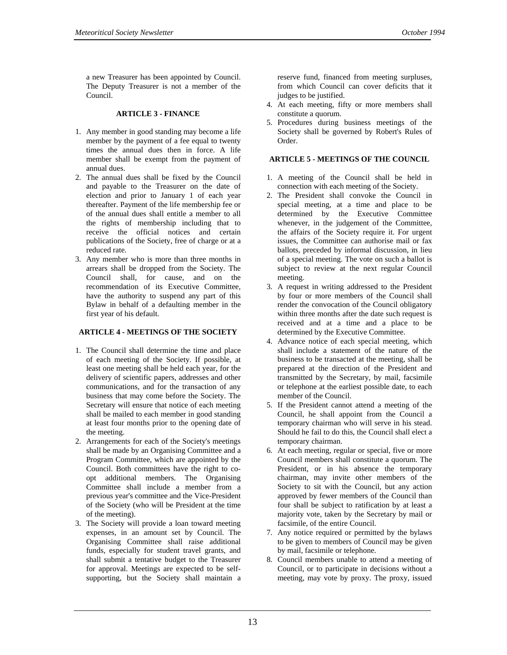#### **ARTICLE 3 - FINANCE**

- 1. Any member in good standing may become a life member by the payment of a fee equal to twenty times the annual dues then in force. A life member shall be exempt from the payment of annual dues.
- 2. The annual dues shall be fixed by the Council and payable to the Treasurer on the date of election and prior to January 1 of each year thereafter. Payment of the life membership fee or of the annual dues shall entitle a member to all the rights of membership including that to receive the official notices and certain publications of the Society, free of charge or at a reduced rate.
- 3. Any member who is more than three months in arrears shall be dropped from the Society. The Council shall, for cause, and on the recommendation of its Executive Committee, have the authority to suspend any part of this Bylaw in behalf of a defaulting member in the first year of his default.

#### **ARTICLE 4 - MEETINGS OF THE SOCIETY**

- 1. The Council shall determine the time and place of each meeting of the Society. If possible, at least one meeting shall be held each year, for the delivery of scientific papers, addresses and other communications, and for the transaction of any business that may come before the Society. The Secretary will ensure that notice of each meeting shall be mailed to each member in good standing at least four months prior to the opening date of the meeting.
- 2. Arrangements for each of the Society's meetings shall be made by an Organising Committee and a Program Committee, which are appointed by the Council. Both committees have the right to coopt additional members. The Organising Committee shall include a member from a previous year's committee and the Vice-President of the Society (who will be President at the time of the meeting).
- 3. The Society will provide a loan toward meeting expenses, in an amount set by Council. The Organising Committee shall raise additional funds, especially for student travel grants, and shall submit a tentative budget to the Treasurer for approval. Meetings are expected to be selfsupporting, but the Society shall maintain a

reserve fund, financed from meeting surpluses, from which Council can cover deficits that it judges to be justified.

- 4. At each meeting, fifty or more members shall constitute a quorum.
- 5. Procedures during business meetings of the Society shall be governed by Robert's Rules of Order.

#### **ARTICLE 5 - MEETINGS OF THE COUNCIL**

- 1. A meeting of the Council shall be held in connection with each meeting of the Society.
- 2. The President shall convoke the Council in special meeting, at a time and place to be determined by the Executive Committee whenever, in the judgement of the Committee, the affairs of the Society require it. For urgent issues, the Committee can authorise mail or fax ballots, preceded by informal discussion, in lieu of a special meeting. The vote on such a ballot is subject to review at the next regular Council meeting.
- 3. A request in writing addressed to the President by four or more members of the Council shall render the convocation of the Council obligatory within three months after the date such request is received and at a time and a place to be determined by the Executive Committee.
- 4. Advance notice of each special meeting, which shall include a statement of the nature of the business to be transacted at the meeting, shall be prepared at the direction of the President and transmitted by the Secretary, by mail, facsimile or telephone at the earliest possible date, to each member of the Council.
- 5. If the President cannot attend a meeting of the Council, he shall appoint from the Council a temporary chairman who will serve in his stead. Should he fail to do this, the Council shall elect a temporary chairman.
- 6. At each meeting, regular or special, five or more Council members shall constitute a quorum. The President, or in his absence the temporary chairman, may invite other members of the Society to sit with the Council, but any action approved by fewer members of the Council than four shall be subject to ratification by at least a majority vote, taken by the Secretary by mail or facsimile, of the entire Council.
- 7. Any notice required or permitted by the bylaws to be given to members of Council may be given by mail, facsimile or telephone.
- 8. Council members unable to attend a meeting of Council, or to participate in decisions without a meeting, may vote by proxy. The proxy, issued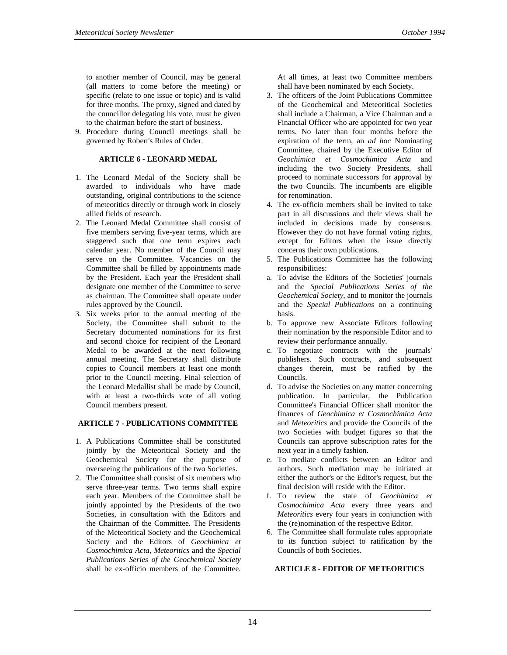to another member of Council, may be general (all matters to come before the meeting) or specific (relate to one issue or topic) and is valid for three months. The proxy, signed and dated by the councillor delegating his vote, must be given to the chairman before the start of business.

9. Procedure during Council meetings shall be governed by Robert's Rules of Order.

#### **ARTICLE 6 - LEONARD MEDAL**

- 1. The Leonard Medal of the Society shall be awarded to individuals who have made outstanding, original contributions to the science of meteoritics directly or through work in closely allied fields of research.
- 2. The Leonard Medal Committee shall consist of five members serving five-year terms, which are staggered such that one term expires each calendar year. No member of the Council may serve on the Committee. Vacancies on the Committee shall be filled by appointments made by the President. Each year the President shall designate one member of the Committee to serve as chairman. The Committee shall operate under rules approved by the Council.
- 3. Six weeks prior to the annual meeting of the Society, the Committee shall submit to the Secretary documented nominations for its first and second choice for recipient of the Leonard Medal to be awarded at the next following annual meeting. The Secretary shall distribute copies to Council members at least one month prior to the Council meeting. Final selection of the Leonard Medallist shall be made by Council, with at least a two-thirds vote of all voting Council members present.

#### **ARTICLE 7 - PUBLICATIONS COMMITTEE**

- 1. A Publications Committee shall be constituted jointly by the Meteoritical Society and the Geochemical Society for the purpose of overseeing the publications of the two Societies.
- 2. The Committee shall consist of six members who serve three-year terms. Two terms shall expire each year. Members of the Committee shall be jointly appointed by the Presidents of the two Societies, in consultation with the Editors and the Chairman of the Committee. The Presidents of the Meteoritical Society and the Geochemical Society and the Editors of *Geochimica et Cosmochimica Acta, Meteoritics* and the *Special Publications Series of the Geochemical Society* shall be ex-officio members of the Committee.

At all times, at least two Committee members shall have been nominated by each Society.

- 3. The officers of the Joint Publications Committee of the Geochemical and Meteoritical Societies shall include a Chairman, a Vice Chairman and a Financial Officer who are appointed for two year terms. No later than four months before the expiration of the term, an *ad hoc* Nominating Committee, chaired by the Executive Editor of *Geochimica et Cosmochimica Acta* and including the two Society Presidents, shall proceed to nominate successors for approval by the two Councils. The incumbents are eligible for renomination.
- 4. The ex-officio members shall be invited to take part in all discussions and their views shall be included in decisions made by consensus. However they do not have formal voting rights, except for Editors when the issue directly concerns their own publications.
- 5. The Publications Committee has the following responsibilities:
- a. To advise the Editors of the Societies' journals and the *Special Publications Series of the Geochemical Society*, and to monitor the journals and the *Special Publications* on a continuing basis.
- b. To approve new Associate Editors following their nomination by the responsible Editor and to review their performance annually.
- c. To negotiate contracts with the journals' publishers. Such contracts, and subsequent changes therein, must be ratified by the Councils.
- d. To advise the Societies on any matter concerning publication. In particular, the Publication Committee's Financial Officer shall monitor the finances of *Geochimica et Cosmochimica Acta* and *Meteoritics* and provide the Councils of the two Societies with budget figures so that the Councils can approve subscription rates for the next year in a timely fashion.
- e. To mediate conflicts between an Editor and authors. Such mediation may be initiated at either the author's or the Editor's request, but the final decision will reside with the Editor.
- f. To review the state of *Geochimica et Cosmochimica Acta* every three years and *Meteoritics* every four years in conjunction with the (re)nomination of the respective Editor.
- 6. The Committee shall formulate rules appropriate to its function subject to ratification by the Councils of both Societies.

#### **ARTICLE 8 - EDITOR OF METEORITICS**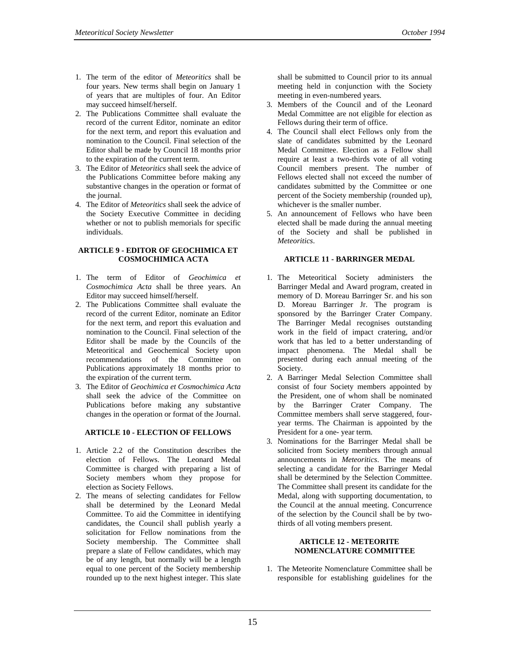- 1. The term of the editor of *Meteoritics* shall be four years. New terms shall begin on January 1 of years that are multiples of four. An Editor may succeed himself/herself.
- 2. The Publications Committee shall evaluate the record of the current Editor, nominate an editor for the next term, and report this evaluation and nomination to the Council. Final selection of the Editor shall be made by Council 18 months prior to the expiration of the current term.
- 3. The Editor of *Meteoritics* shall seek the advice of the Publications Committee before making any substantive changes in the operation or format of the journal.
- 4. The Editor of *Meteoritics* shall seek the advice of the Society Executive Committee in deciding whether or not to publish memorials for specific individuals.

#### **ARTICLE 9 - EDITOR OF GEOCHIMICA ET COSMOCHIMICA ACTA**

- 1. The term of Editor of *Geochimica et Cosmochimica Acta* shall be three years. An Editor may succeed himself/herself.
- 2. The Publications Committee shall evaluate the record of the current Editor, nominate an Editor for the next term, and report this evaluation and nomination to the Council. Final selection of the Editor shall be made by the Councils of the Meteoritical and Geochemical Society upon recommendations of the Committee on Publications approximately 18 months prior to the expiration of the current term.
- 3. The Editor of *Geochimica et Cosmochimica Acta* shall seek the advice of the Committee on Publications before making any substantive changes in the operation or format of the Journal.

#### **ARTICLE 10 - ELECTION OF FELLOWS**

- 1. Article 2.2 of the Constitution describes the election of Fellows. The Leonard Medal Committee is charged with preparing a list of Society members whom they propose for election as Society Fellows.
- 2. The means of selecting candidates for Fellow shall be determined by the Leonard Medal Committee. To aid the Committee in identifying candidates, the Council shall publish yearly a solicitation for Fellow nominations from the Society membership. The Committee shall prepare a slate of Fellow candidates, which may be of any length, but normally will be a length equal to one percent of the Society membership rounded up to the next highest integer. This slate

shall be submitted to Council prior to its annual meeting held in conjunction with the Society meeting in even-numbered years.

- 3. Members of the Council and of the Leonard Medal Committee are not eligible for election as Fellows during their term of office.
- 4. The Council shall elect Fellows only from the slate of candidates submitted by the Leonard Medal Committee. Election as a Fellow shall require at least a two-thirds vote of all voting Council members present. The number of Fellows elected shall not exceed the number of candidates submitted by the Committee or one percent of the Society membership (rounded up), whichever is the smaller number.
- 5. An announcement of Fellows who have been elected shall be made during the annual meeting of the Society and shall be published in *Meteoritics*.

#### **ARTICLE 11 - BARRINGER MEDAL**

- 1. The Meteoritical Society administers the Barringer Medal and Award program, created in memory of D. Moreau Barringer Sr. and his son D. Moreau Barringer Jr. The program is sponsored by the Barringer Crater Company. The Barringer Medal recognises outstanding work in the field of impact cratering, and/or work that has led to a better understanding of impact phenomena. The Medal shall be presented during each annual meeting of the Society.
- 2. A Barringer Medal Selection Committee shall consist of four Society members appointed by the President, one of whom shall be nominated by the Barringer Crater Company. The Committee members shall serve staggered, fouryear terms. The Chairman is appointed by the President for a one- year term.
- 3. Nominations for the Barringer Medal shall be solicited from Society members through annual announcements in *Meteoritics*. The means of selecting a candidate for the Barringer Medal shall be determined by the Selection Committee. The Committee shall present its candidate for the Medal, along with supporting documentation, to the Council at the annual meeting. Concurrence of the selection by the Council shall be by twothirds of all voting members present.

#### **ARTICLE 12 - METEORITE NOMENCLATURE COMMITTEE**

1. The Meteorite Nomenclature Committee shall be responsible for establishing guidelines for the